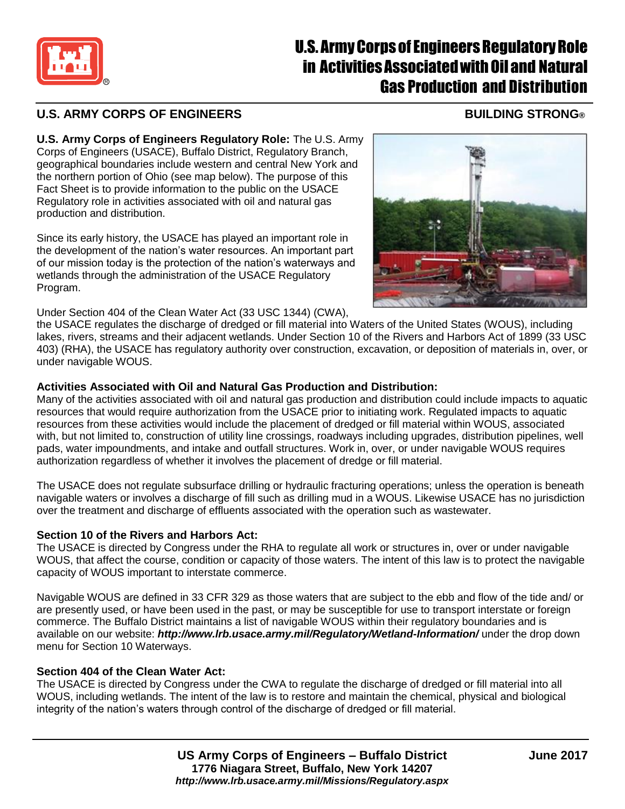

# **U.S. Army Corps of Engineers Regulatory Role** in Activities Associated with Oil and Natural Gas Production and Distribution

## **U.S. ARMY CORPS OF ENGINEERS BUILDING STRONG®**

**U.S. Army Corps of Engineers Regulatory Role:** The U.S. Army Corps of Engineers (USACE), Buffalo District, Regulatory Branch, geographical boundaries include western and central New York and the northern portion of Ohio (see map below). The purpose of this Fact Sheet is to provide information to the public on the USACE Regulatory role in activities associated with oil and natural gas production and distribution.

Since its early history, the USACE has played an important role in the development of the nation's water resources. An important part of our mission today is the protection of the nation's waterways and wetlands through the administration of the USACE Regulatory Program.

Under Section 404 of the Clean Water Act (33 USC 1344) (CWA),

the USACE regulates the discharge of dredged or fill material into Waters of the United States (WOUS), including lakes, rivers, streams and their adjacent wetlands. Under Section 10 of the Rivers and Harbors Act of 1899 (33 USC 403) (RHA), the USACE has regulatory authority over construction, excavation, or deposition of materials in, over, or under navigable WOUS.

#### **Activities Associated with Oil and Natural Gas Production and Distribution:**

Many of the activities associated with oil and natural gas production and distribution could include impacts to aquatic resources that would require authorization from the USACE prior to initiating work. Regulated impacts to aquatic resources from these activities would include the placement of dredged or fill material within WOUS, associated with, but not limited to, construction of utility line crossings, roadways including upgrades, distribution pipelines, well pads, water impoundments, and intake and outfall structures. Work in, over, or under navigable WOUS requires authorization regardless of whether it involves the placement of dredge or fill material.

The USACE does not regulate subsurface drilling or hydraulic fracturing operations; unless the operation is beneath navigable waters or involves a discharge of fill such as drilling mud in a WOUS. Likewise USACE has no jurisdiction over the treatment and discharge of effluents associated with the operation such as wastewater.

### **Section 10 of the Rivers and Harbors Act:**

The USACE is directed by Congress under the RHA to regulate all work or structures in, over or under navigable WOUS, that affect the course, condition or capacity of those waters. The intent of this law is to protect the navigable capacity of WOUS important to interstate commerce.

Navigable WOUS are defined in 33 CFR 329 as those waters that are subject to the ebb and flow of the tide and/ or are presently used, or have been used in the past, or may be susceptible for use to transport interstate or foreign commerce. The Buffalo District maintains a list of navigable WOUS within their regulatory boundaries and is available on our website: *<http://www.lrb.usace.army.mil/Regulatory/Wetland-Information/>* under the drop down menu for Section 10 Waterways.

### **Section 404 of the Clean Water Act:**

The USACE is directed by Congress under the CWA to regulate the discharge of dredged or fill material into all WOUS, including wetlands. The intent of the law is to restore and maintain the chemical, physical and biological integrity of the nation's waters through control of the discharge of dredged or fill material.